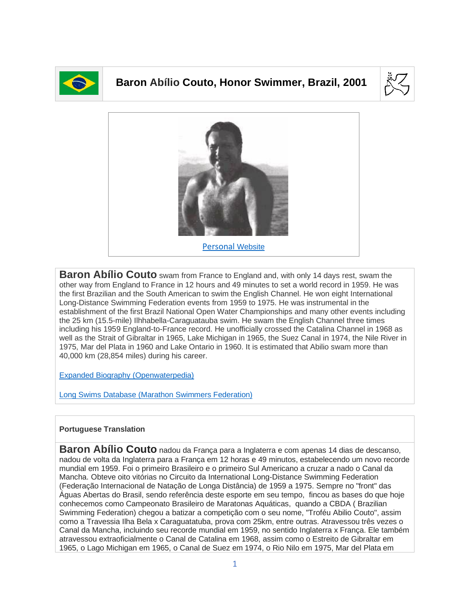

## **Baron Abílio Couto, Honor Swimmer, Brazil, 2001**





**Baron Abílio Couto** swam from France to England and, with only 14 days rest, swam the other way from England to France in 12 hours and 49 minutes to set a world record in 1959. He was the first Brazilian and the South American to swim the English Channel. He won eight International Long-Distance Swimming Federation events from 1959 to 1975. He was instrumental in the establishment of the first Brazil National Open Water Championships and many other events including the 25 km (15.5-mile) Ilhhabella-Caraguatauba swim. He swam the English Channel three times including his 1959 England-to-France record. He unofficially crossed the Catalina Channel in 1968 as well as the Strait of Gibraltar in 1965, Lake Michigan in 1965, the Suez Canal in 1974, the Nile River in 1975, Mar del Plata in 1960 and Lake Ontario in 1960. It is estimated that Abilio swam more than 40,000 km (28,854 miles) during his career.

[Expanded Biography](https://www.openwaterpedia.com/index.php?title=Abilio_Couto) (Openwaterpedia)

Long Swims Database [\(Marathon Swimmers Federation\)](https://db.marathonswimmers.org/p/abilio-couto/)

## **Portuguese Translation**

**Baron Abílio Couto** nadou da França para a Inglaterra e com apenas 14 dias de descanso, nadou de volta da Inglaterra para a França em 12 horas e 49 minutos, estabelecendo um novo recorde mundial em 1959. Foi o primeiro Brasileiro e o primeiro Sul Americano a cruzar a nado o Canal da Mancha. Obteve oito vitórias no Circuito da International Long-Distance Swimming Federation (Federação Internacional de Natação de Longa Distância) de 1959 a 1975. Sempre no "front" das Águas Abertas do Brasil, sendo referência deste esporte em seu tempo, fincou as bases do que hoje conhecemos como Campeonato Brasileiro de Maratonas Aquáticas, quando a CBDA ( Brazilian Swimming Federation) chegou a batizar a competição com o seu nome, "Troféu Abilio Couto", assim como a Travessia Ilha Bela x Caraguatatuba, prova com 25km, entre outras. Atravessou três vezes o Canal da Mancha, incluindo seu recorde mundial em 1959, no sentido Inglaterra x França. Ele também atravessou extraoficialmente o Canal de Catalina em 1968, assim como o Estreito de Gibraltar em 1965, o Lago Michigan em 1965, o Canal de Suez em 1974, o Rio Nilo em 1975, Mar del Plata em